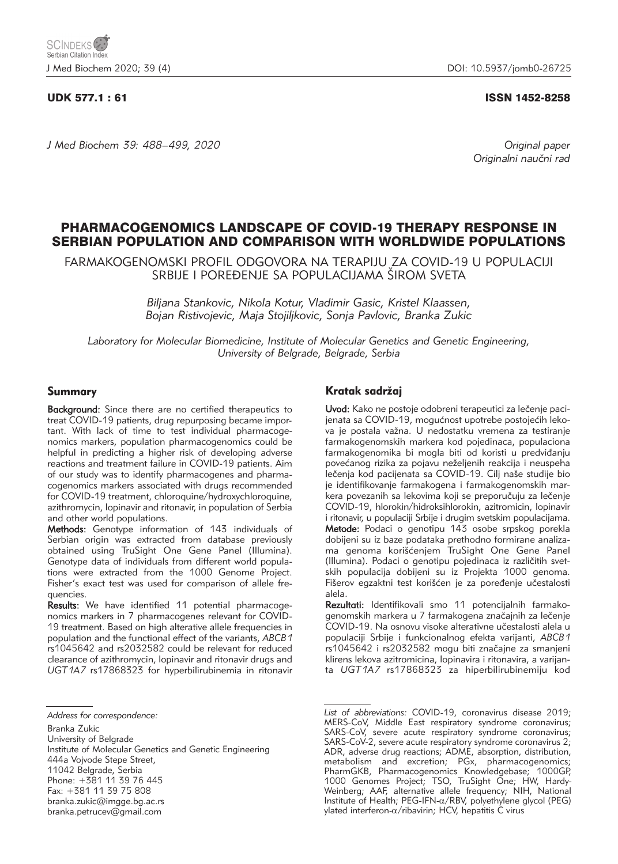## UDK 577.1 : 61 ISSN 1452-8258

*J Med Biochem 39: 488–499, 2020 Original paper*

Originalni naučni rad

# PHARMACOGENOMICS LANDSCAPE OF COVID-19 THERAPY RESPONSE IN SERBIAN POPULATION AND COMPARISON WITH WORLDWIDE POPULATIONS

FARMAKOGENOMSKI PROFIL ODGOVORA NA TERAPIJU ZA COVID-19 U POPULACIJI SRBIJE I POREĐENJE SA POPULACIJAMA ŠIROM SVETA

> *Biljana Stankovic, Nikola Kotur, Vladimir Gasic, Kristel Klaassen, Bojan Ristivojevic, Maja Stojiljkovic, Sonja Pavlovic, Branka Zukic*

*Laboratory for Molecular Biomedicine, Institute of Molecular Genetics and Genetic Engineering, University of Belgrade, Belgrade, Serbia*

## Summary

Background: Since there are no certified therapeutics to treat COVID-19 patients, drug repurposing became important. With lack of time to test individual pharmacogenomics markers, population pharmacogenomics could be helpful in predicting a higher risk of developing adverse reactions and treatment failure in COVID-19 patients. Aim of our study was to identify pharmacogenes and pharmacogenomics markers associated with drugs recommended for COVID-19 treatment, chloroquine/hydroxychloroquine, azithromycin, lopinavir and ritonavir, in population of Serbia and other world populations.

Methods: Genotype information of 143 individuals of Serbian origin was extracted from database previously obtained using TruSight One Gene Panel (Illumina). Genotype data of individuals from different world populations were extracted from the 1000 Genome Project. Fisher's exact test was used for comparison of allele frequencies.

Results: We have identified 11 potential pharmacogenomics markers in 7 pharmacogenes relevant for COVID-19 treatment. Based on high alterative allele frequencies in population and the functional effect of the variants, *ABCB1* rs1045642 and rs2032582 could be relevant for reduced clearance of azithromycin, lopinavir and ritonavir drugs and *UGT1A7* rs17868323 for hyperbilirubinemia in ritonavir

University of Belgrade

Phone: +381 11 39 76 445

Fax: +381 11 39 75 808

branka.petrucev@gmail.com

## Kratak sadržai

Uvod: Kako ne postoje odobreni terapeutici za lečenje pacijenata sa COVID-19, mogućnost upotrebe postojećih leko-.<br>va je postala važna. U nedostatku vremena za testiranje farma kogenomskih markera kod pojedinaca, populaciona farmakogenomika bi mogla biti od koristi u predviđanju povećanog rizika za pojavu neželjenih reakcija i neuspeha lečenja kod pacijenata sa COVID-19. Cilj naše studije bio je identifikovanje farmakogena i farmakogenomskih markera povezanih sa lekovima koji se preporučuju za lečenje COVID-19, hlorokin/hidroksihlorokin, azitromicin, lopinavir i ritonavir, u populaciji Srbije i drugim svetskim populacijama. Metode: Podaci o genotipu 143 osobe srpskog porekla dobijeni su iz baze podataka prethodno formirane analizama genoma korišćenjem TruSight One Gene Panel (Illumina). Podaci o genotipu pojedinaca iz različitih svetskih populacija dobijeni su iz Projekta 1000 genoma. Fišerov egzaktni test korišćen je za poređenje učestalosti alela.

Rezultati: Identifikovali smo 11 potencijalnih farmakogenomskih markera u 7 farmakogena značajnih za lečenje COVID-19. Na osnovu visoke alterativne učestalosti alela u populaciji Srbije i funkcionalnog efekta varijanti, *ABCB1* rs1045642 i rs2032582 mogu biti značajne za smanjeni klirens lekova azitromicina, lopinavira i ritonavira, a varijanta *UGT1A7* rs17868323 za hiperbilirubinemiju kod

*Address for correspondence:*

Branka Zukic

Institute of Molecular Genetics and Genetic Engineering 444a Vojvode Stepe Street, 11042 Belgrade, Serbia

branka.zukic@imgge.bg.ac.rs

*List of abbreviations:* COVID-19, coronavirus disease 2019; MERS-CoV, Middle East respiratory syndrome coronavirus; SARS-CoV, severe acute respiratory syndrome coronavirus; SARS-CoV-2, severe acute respiratory syndrome coronavirus 2; ADR, adverse drug reactions; ADME, absorption, distribution, metabolism and excretion; PGx, pharmacogenomics; PharmGKB, Pharmacogenomics Knowledgebase; 1000GP, 1000 Genomes Project; TSO, TruSight One; HW, Hardy-Weinberg; AAF, alternative allele frequency; NIH, National Institute of Health; PEG-IFN-a/RBV, polyethylene glycol (PEG)  $v$ lated interferon- $\alpha$ /ribavirin; HCV, hepatitis C virus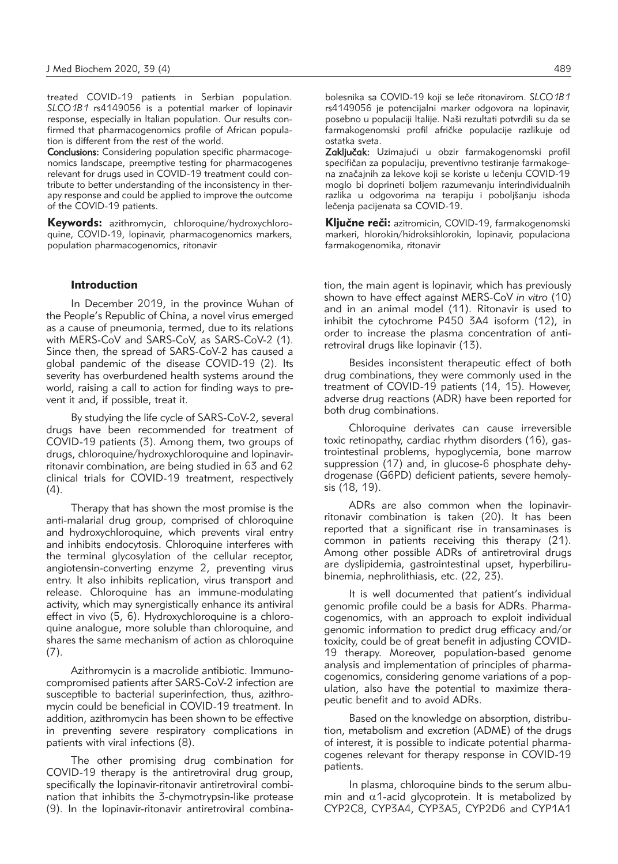treated COVID-19 patients in Serbian population. *SLCO1B1* rs4149056 is a potential marker of lopinavir response, especially in Italian population. Our results confirmed that pharmacogenomics profile of African population is different from the rest of the world.

Conclusions: Considering population specific pharmacogenomics landscape, preemptive testing for pharmacogenes relevant for drugs used in COVID-19 treatment could contribute to better understanding of the inconsistency in therapy response and could be applied to improve the outcome of the COVID-19 patients.

Keywords: azithromycin, chloroquine/hydroxychloroquine, COVID-19, lopinavir, pharmacogenomics markers, population pharmacogenomics, ritonavir

#### Introduction

In December 2019, in the province Wuhan of the People's Republic of China, a novel virus emerged as a cause of pneumonia, termed, due to its relations with MERS-CoV and SARS-CoV, as SARS-CoV-2 (1). Since then, the spread of SARS-CoV-2 has caused a global pandemic of the disease COVID-19 (2). Its severity has overburdened health systems around the world, raising a call to action for finding ways to prevent it and, if possible, treat it.

By studying the life cycle of SARS-CoV-2, several drugs have been recommended for treatment of COVID-19 patients (3). Among them, two groups of drugs, chloroquine/hydroxychloroquine and lopinavirritonavir combination, are being studied in 63 and 62 clinical trials for COVID-19 treatment, respectively  $(4).$ 

Therapy that has shown the most promise is the anti-malarial drug group, comprised of chloroquine and hydroxychloroquine, which prevents viral entry and inhibits endocytosis. Chloroquine interferes with the terminal glycosylation of the cellular receptor, angiotensin-converting enzyme 2, preventing virus entry. It also inhibits replication, virus transport and release. Chloroquine has an immune-modulating activity, which may synergistically enhance its antiviral effect in vivo (5, 6). Hydroxychloroquine is a chloroquine analogue, more soluble than chloroquine, and shares the same mechanism of action as chloroquine  $(7).$ 

Azithromycin is a macrolide antibiotic. Immunocompromised patients after SARS-CoV-2 infection are susceptible to bacterial superinfection, thus, azithromycin could be beneficial in COVID-19 treatment. In addition, azithromycin has been shown to be effective in preventing severe respiratory complications in patients with viral infections (8).

The other promising drug combination for COVID-19 therapy is the antiretroviral drug group, specifically the lopinavir-ritonavir antiretroviral combination that inhibits the 3-chymotrypsin-like protease (9). In the lopinavir-ritonavir antiretroviral combinabolesnika sa COVID-19 koji se leče ritonavirom. *SLCO1B1* rs4149056 je potencijalni marker odgovora na lopinavir, posebno u populaciji Italije. Naši rezultati potvrdili su da se farmakogenomski profil afričke populacije razlikuje od ostatka sveta.

Zaključak: Uzimajući u obzir farmakogenomski profil specifičan za populaciju, preventivno testiranje farmakogena značajnih za lekove koji se koriste u lečenju COVID-19 moglo bi doprineti boljem razumevanju interindividualnih razlika u odgovorima na terapiju i poboljšanju ishoda lečenja pacijenata sa COVID-19.

Ključne reči: azitromicin, COVID-19, farmakogenomski markeri, hlorokin/hidroksihlorokin, lopinavir, populaciona farmakogenomika, ritonavir

tion, the main agent is lopinavir, which has previously shown to have effect against MERS-CoV *in vitro* (10) and in an animal model (11). Ritonavir is used to inhibit the cytochrome P450 3A4 isoform (12), in order to increase the plasma concentration of antiretroviral drugs like lopinavir (13).

Besides inconsistent therapeutic effect of both drug combinations, they were commonly used in the treatment of COVID-19 patients (14, 15). However, adverse drug reactions (ADR) have been reported for both drug combinations.

Chloroquine derivates can cause irreversible toxic retinopathy, cardiac rhythm disorders (16), gastrointestinal problems, hypoglycemia, bone marrow suppression (17) and, in glucose-6 phosphate dehydrogenase (G6PD) deficient patients, severe hemolysis (18, 19).

ADRs are also common when the lopinavirritonavir combination is taken (20). It has been reported that a significant rise in transaminases is common in patients receiving this therapy (21). Among other possible ADRs of antiretroviral drugs are dyslipidemia, gastrointestinal upset, hyperbilirubinemia, nephrolithiasis, etc. (22, 23).

It is well documented that patient's individual genomic profile could be a basis for ADRs. Pharmacogenomics, with an approach to exploit individual genomic information to predict drug efficacy and/or toxicity, could be of great benefit in adjusting COVID-19 therapy. Moreover, population-based genome analysis and implementation of principles of pharmacogenomics, considering genome variations of a population, also have the potential to maximize therapeutic benefit and to avoid ADRs.

Based on the knowledge on absorption, distribution, metabolism and excretion (ADME) of the drugs of interest, it is possible to indicate potential pharmacogenes relevant for therapy response in COVID-19 patients.

In plasma, chloroquine binds to the serum albumin and  $\alpha$ 1-acid glycoprotein. It is metabolized by CYP2C8, CYP3A4, CYP3A5, CYP2D6 and CYP1A1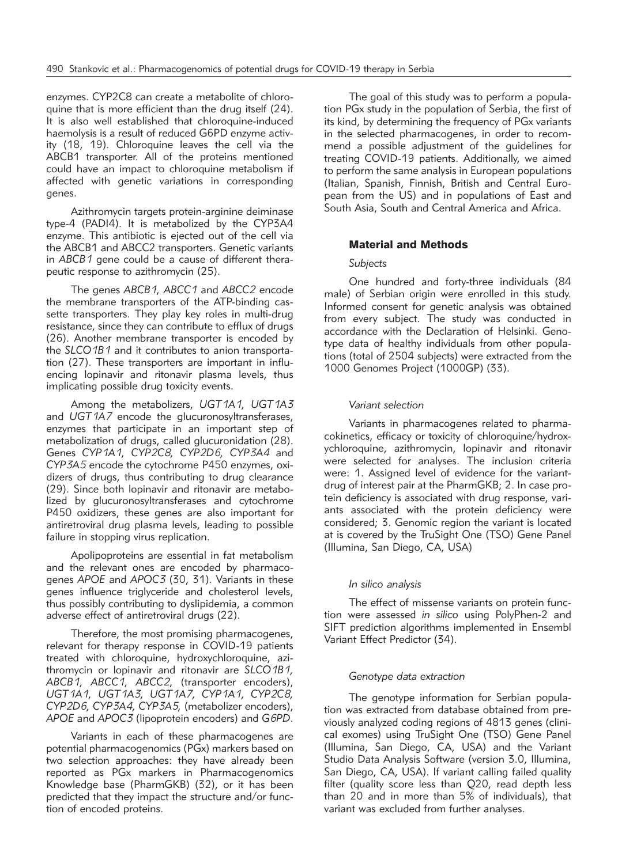enzymes. CYP2C8 can create a metabolite of chloroquine that is more efficient than the drug itself (24). It is also well established that chloroquine-induced haemolysis is a result of reduced G6PD enzyme activity (18, 19). Chloroquine leaves the cell via the ABCB1 transporter. All of the proteins mentioned could have an impact to chloroquine metabolism if affected with genetic variations in corresponding genes.

Azithromycin targets protein-arginine deiminase type-4 (PADI4). It is metabolized by the CYP3A4 enzyme. This antibiotic is ejected out of the cell via the ABCB1 and ABCC2 transporters. Genetic variants in *ABCB1* gene could be a cause of different therapeutic response to azithromycin (25).

The genes *ABCB1, ABCC1* and *ABCC2* encode the membrane transporters of the ATP-binding cassette transporters. They play key roles in multi-drug resistance, since they can contribute to efflux of drugs (26). Another membrane transporter is encoded by the *SLCO1B1* and it contributes to anion transportation (27). These transporters are important in influencing lopinavir and ritonavir plasma levels, thus implicating possible drug toxicity events.

Among the metabolizers, *UGT1A1, UGT1A3* and *UGT1A7* encode the glucuronosyltransferases, enzymes that participate in an important step of metabolization of drugs, called glucuronidation (28). Genes *CYP1A1, CYP2C8, CYP2D6, CYP3A4* and *CYP3A5* encode the cytochrome P450 enzymes, oxidizers of drugs, thus contributing to drug clearance (29). Since both lopinavir and ritonavir are metabolized by glucuronosyltransferases and cytochrome P450 oxidizers, these genes are also important for antiretroviral drug plasma levels, leading to possible failure in stopping virus replication.

Apolipoproteins are essential in fat metabolism and the relevant ones are encoded by pharmacogenes *APOE* and *APOC3* (30, 31). Variants in these genes influence triglyceride and cholesterol levels, thus possibly contributing to dyslipidemia, a common adverse effect of antiretroviral drugs (22).

Therefore, the most promising pharmacogenes, relevant for therapy response in COVID-19 patients treated with chloroquine, hydroxychloroquine, azithro mycin or lopinavir and ritonavir are *SLCO1B1, ABCB1, ABCC1, ABCC2,* (transporter encoders), *UGT1A1, UGT1A3, UGT1A7, CYP1A1, CYP2C8, CYP2D6, CYP3A4, CYP3A5,* (metabolizer encoders), *APOE* and *APOC3* (lipoprotein encoders) and *G6PD*.

Variants in each of these pharmacogenes are potential pharmacogenomics (PGx) markers based on two selection approaches: they have already been reported as PGx markers in Pharmacogenomics Knowledge base (PharmGKB) (32), or it has been predicted that they impact the structure and/or function of encoded proteins.

The goal of this study was to perform a population PGx study in the population of Serbia, the first of its kind, by determining the frequency of PGx variants in the selected pharmacogenes, in order to recommend a possible adjustment of the guidelines for treating COVID-19 patients. Additionally, we aimed to perform the same analysis in European populations (Italian, Spanish, Finnish, British and Central European from the US) and in populations of East and South Asia, South and Central America and Africa.

## Material and Methods

## *Subjects*

One hundred and forty-three individuals (84 male) of Serbian origin were enrolled in this study. Informed consent for genetic analysis was obtained from every subject. The study was conducted in accordance with the Declaration of Helsinki. Genotype data of healthy individuals from other populations (total of 2504 subjects) were extracted from the 1000 Genomes Project (1000GP) (33).

### *Variant selection*

Variants in pharmacogenes related to pharmacokinetics, efficacy or toxicity of chloroquine/hydroxychloroquine, azithromycin, lopinavir and ritonavir were selected for analyses. The inclusion criteria were: 1. Assigned level of evidence for the variantdrug of interest pair at the PharmGKB; 2. In case protein deficiency is associated with drug response, variants associated with the protein deficiency were considered; 3. Genomic region the variant is located at is covered by the TruSight One (TSO) Gene Panel (Illumina, San Diego, CA, USA)

#### *In silico analysis*

The effect of missense variants on protein function were assessed *in silico* using PolyPhen-2 and SIFT prediction algorithms implemented in Ensembl Variant Effect Predictor (34).

#### *Genotype data extraction*

The genotype information for Serbian population was extracted from database obtained from previously analyzed coding regions of 4813 genes (clinical exomes) using TruSight One (TSO) Gene Panel (Illumina, San Diego, CA, USA) and the Variant Studio Data Analysis Software (version 3.0, Illumina, San Diego, CA, USA). If variant calling failed quality filter (quality score less than Q20, read depth less than 20 and in more than 5% of individuals), that variant was excluded from further analyses.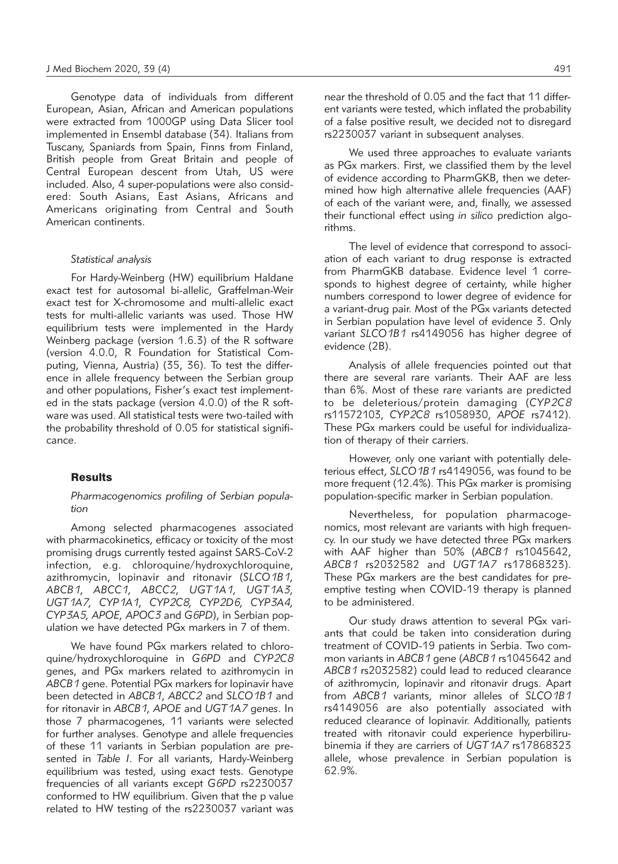Genotype data of individuals from different European, Asian, African and American populations were extracted from 1000GP using Data Slicer tool implemented in Ensembl database (34). Italians from Tuscany, Spaniards from Spain, Finns from Finland, British people from Great Britain and people of Central European descent from Utah, US were included. Also, 4 super-populations were also considered: South Asians, East Asians, Africans and Americans originating from Central and South American continents.

#### *Statistical analysis*

For Hardy-Weinberg (HW) equilibrium Haldane exact test for autosomal bi-allelic, Graffelman-Weir exact test for X-chromosome and multi-allelic exact tests for multi-allelic variants was used. Those HW equilibrium tests were implemented in the Hardy Weinberg package (version 1.6.3) of the R software (version 4.0.0, R Foundation for Statistical Computing, Vienna, Austria) (35, 36). To test the difference in allele frequency between the Serbian group and other populations, Fisher's exact test implemented in the stats package (version 4.0.0) of the R software was used. All statistical tests were two-tailed with the probability threshold of 0.05 for statistical significance.

## **Results**

## *Pharmacogenomics profiling of Serbian population*

Among selected pharmacogenes associated with pharmacokinetics, efficacy or toxicity of the most promising drugs currently tested against SARS-CoV-2 infection, e.g. chloroquine/hydroxychloroquine, azithromycin, lopinavir and ritonavir (*SLCO1B1, ABCB1, ABCC1, ABCC2, UGT1A1, UGT1A3, UGT1A7, CYP1A1, CYP2C8, CYP2D6, CYP3A4, CYP3A5, APOE, APOC3* and *G6PD*), in Serbian population we have detected PGx markers in 7 of them.

We have found PGx markers related to chloroquine/hydroxychloroquine in *G6PD* and *CYP2C8* genes, and PGx markers related to azithromycin in *ABCB1* gene. Potential PGx markers for lopinavir have been detected in *ABCB1*, *ABCC2* and *SLCO1B1* and for ritonavir in *ABCB1, APOE* and *UGT1A7* gene*s*. In those 7 pharmacogenes, 11 variants were selected for further analyses. Genotype and allele frequencies of these 11 variants in Serbian population are presented in *Table I*. For all variants, Hardy-Weinberg equilibrium was tested, using exact tests. Genotype frequencies of all variants except *G6PD* rs2230037 conformed to HW equilibrium. Given that the p value related to HW testing of the rs2230037 variant was

near the threshold of 0.05 and the fact that 11 different variants were tested, which inflated the probability of a false positive result, we decided not to disregard rs2230037 variant in subsequent analyses.

We used three approaches to evaluate variants as PGx markers. First, we classified them by the level of evidence according to PharmGKB, then we determined how high alternative allele frequencies (AAF) of each of the variant were, and, finally, we assessed their functional effect using *in silico* prediction algorithms.

The level of evidence that correspond to association of each variant to drug response is extracted from PharmGKB database. Evidence level 1 corresponds to highest degree of certainty, while higher numbers correspond to lower degree of evidence for a variant-drug pair. Most of the PGx variants detected in Serbian population have level of evidence 3. Only variant *SLCO1B1* rs4149056 has higher degree of evidence (2B).

Analysis of allele frequencies pointed out that there are several rare variants. Their AAF are less than 6%. Most of these rare variants are predicted to be deleterious/protein damaging (*CYP2C8* rs11572103, *CYP2C8* rs1058930, *APOE* rs7412). These PGx markers could be useful for individualization of therapy of their carriers.

However, only one variant with potentially deleterious effect, *SLCO1B1* rs4149056, was found to be more frequent (12.4%). This PGx marker is promising population-specific marker in Serbian population.

Nevertheless, for population pharmacogenomics, most relevant are variants with high frequency. In our study we have detected three PGx markers with AAF higher than 50% (*ABCB1* rs1045642, *ABCB1* rs2032582 and *UGT1A7* rs17868323). These PGx markers are the best candidates for preemptive testing when COVID-19 therapy is planned to be administered.

Our study draws attention to several PGx variants that could be taken into consideration during treatment of COVID-19 patients in Serbia. Two common variants in *ABCB1* gene (*ABCB1* rs1045642 and *ABCB1* rs2032582) could lead to reduced clearance of azithromycin, lopinavir and ritonavir drugs. Apart from *ABCB1* variants, minor alleles of *SLCO1B1* rs4149056 are also potentially associated with reduced clearance of lopinavir. Additionally, patients treated with ritonavir could experience hyperbilirubinemia if they are carriers of *UGT1A7* rs17868323 allele, whose prevalence in Serbian population is 62.9%.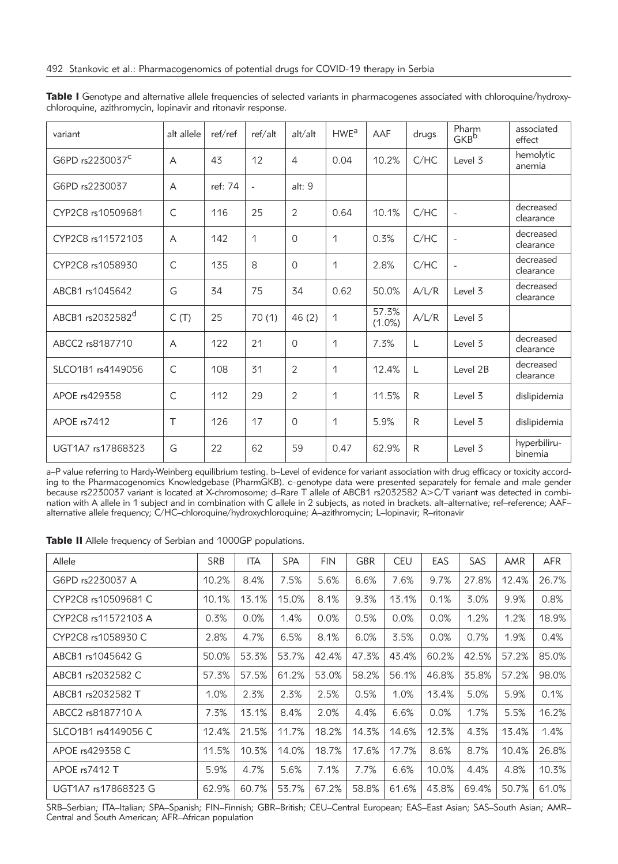| variant                     | alt allele  | ref/ref | ref/alt       | alt/alt        | HWE <sup>a</sup> | AAF                | drugs        | Pharm<br><b>GKB</b> b | associated<br>effect    |
|-----------------------------|-------------|---------|---------------|----------------|------------------|--------------------|--------------|-----------------------|-------------------------|
| G6PD rs2230037 <sup>c</sup> | A           | 43      | 12            | 4              | 0.04             | 10.2%              | C/HC         | Level 3               | hemolytic<br>anemia     |
| G6PD rs2230037              | A           | ref: 74 | $\bar{a}$     | alt: 9         |                  |                    |              |                       |                         |
| CYP2C8 rs10509681           | $\mathsf C$ | 116     | 25            | $\overline{2}$ | 0.64             | 10.1%              | C/HC         | $\qquad \qquad -$     | decreased<br>clearance  |
| CYP2C8 rs11572103           | A           | 142     | $\mathcal{L}$ | $\Omega$       | 1                | 0.3%               | C/HC         | $\qquad \qquad -$     | decreased<br>clearance  |
| CYP2C8 rs1058930            | $\mathsf C$ | 135     | 8             | $\Omega$       | 1                | 2.8%               | C/HC         | $\qquad \qquad -$     | decreased<br>clearance  |
| ABCB1 rs1045642             | G           | 34      | 75            | 34             | 0.62             | 50.0%              | A/L/R        | Level 3               | decreased<br>clearance  |
| ABCB1 rs2032582d            | C(T)        | 25      | 70(1)         | 46(2)          | 1                | 57.3%<br>$(1.0\%)$ | A/L/R        | Level 3               |                         |
| ABCC2 rs8187710             | А           | 122     | 21            | $\Omega$       | 1                | 7.3%               | L            | Level 3               | decreased<br>clearance  |
| SLCO1B1 rs4149056           | C           | 108     | 31            | $\overline{2}$ | 1                | 12.4%              | L            | Level 2B              | decreased<br>clearance  |
| APOE rs429358               | C           | 112     | 29            | $\overline{2}$ | 1                | 11.5%              | $\mathsf{R}$ | Level 3               | dislipidemia            |
| APOE rs7412                 | $\top$      | 126     | 17            | $\Omega$       | 1                | 5.9%               | R            | Level 3               | dislipidemia            |
| UGT1A7 rs17868323           | G           | 22      | 62            | 59             | 0.47             | 62.9%              | R            | Level 3               | hyperbiliru-<br>binemia |

Table I Genotype and alternative allele frequencies of selected variants in pharmacogenes associated with chloroquine/hydroxychloroquine, azithromycin, lopinavir and ritonavir response.

a–P value referring to Hardy-Weinberg equilibrium testing. b–Level of evidence for variant association with drug efficacy or toxicity according to the Pharmacogenomics Knowledgebase (PharmGKB). c–genotype data were presented separately for female and male gender because rs2230037 variant is located at X-chromosome; d–Rare T allele of ABCB1 rs2032582 A>C/T variant was detected in combination with A allele in 1 subject and in combination with C allele in 2 subjects, as noted in brackets. alt–alternative; ref–reference; AAF– alternative allele frequency; C/HC–chloroquine/hydroxychloroquine; A–azithromycin; L–lopinavir; R–ritonavir

Table II Allele frequency of Serbian and 1000GP populations.

| Allele              | <b>SRB</b> | <b>ITA</b> | <b>SPA</b> | <b>FIN</b> | <b>GBR</b> | <b>CEU</b> | EAS   | SAS   | AMR   | <b>AFR</b> |
|---------------------|------------|------------|------------|------------|------------|------------|-------|-------|-------|------------|
| G6PD rs2230037 A    | 10.2%      | 8.4%       | 7.5%       | 5.6%       | 6.6%       | 7.6%       | 9.7%  | 27.8% | 12.4% | 26.7%      |
| CYP2C8 rs10509681 C | 10.1%      | 13.1%      | 15.0%      | 8.1%       | 9.3%       | 13.1%      | 0.1%  | 3.0%  | 9.9%  | 0.8%       |
| CYP2C8 rs11572103 A | 0.3%       | 0.0%       | 1.4%       | 0.0%       | 0.5%       | 0.0%       | 0.0%  | 1.2%  | 1.2%  | 18.9%      |
| CYP2C8 rs1058930 C  | 2.8%       | 4.7%       | 6.5%       | 8.1%       | 6.0%       | 3.5%       | 0.0%  | 0.7%  | 1.9%  | 0.4%       |
| ABCB1 rs1045642 G   | 50.0%      | 53.3%      | 53.7%      | 42.4%      | 47.3%      | 43.4%      | 60.2% | 42.5% | 57.2% | 85.0%      |
| ABCB1 rs2032582 C   | 57.3%      | 57.5%      | 61.2%      | 53.0%      | 58.2%      | 56.1%      | 46.8% | 35.8% | 57.2% | 98.0%      |
| ABCB1 rs2032582 T   | 1.0%       | 2.3%       | 2.3%       | 2.5%       | 0.5%       | 1.0%       | 13.4% | 5.0%  | 5.9%  | 0.1%       |
| ABCC2 rs8187710 A   | 7.3%       | 13.1%      | 8.4%       | 2.0%       | 4.4%       | 6.6%       | 0.0%  | 1.7%  | 5.5%  | 16.2%      |
| SLCO1B1 rs4149056 C | 12.4%      | 21.5%      | 11.7%      | 18.2%      | 14.3%      | 14.6%      | 12.3% | 4.3%  | 13.4% | 1.4%       |
| APOE rs429358 C     | 11.5%      | 10.3%      | 14.0%      | 18.7%      | 17.6%      | 17.7%      | 8.6%  | 8.7%  | 10.4% | 26.8%      |
| APOE rs7412 T       | 5.9%       | 4.7%       | 5.6%       | 7.1%       | 7.7%       | 6.6%       | 10.0% | 4.4%  | 4.8%  | 10.3%      |
| UGT1A7 rs17868323 G | 62.9%      | 60.7%      | 53.7%      | 67.2%      | 58.8%      | 61.6%      | 43.8% | 69.4% | 50.7% | 61.0%      |

SRB–Serbian; ITA–Italian; SPA–Spanish; FIN–Finnish; GBR–British; CEU–Central European; EAS–East Asian; SAS–South Asian; AMR– Central and South American; AFR–African population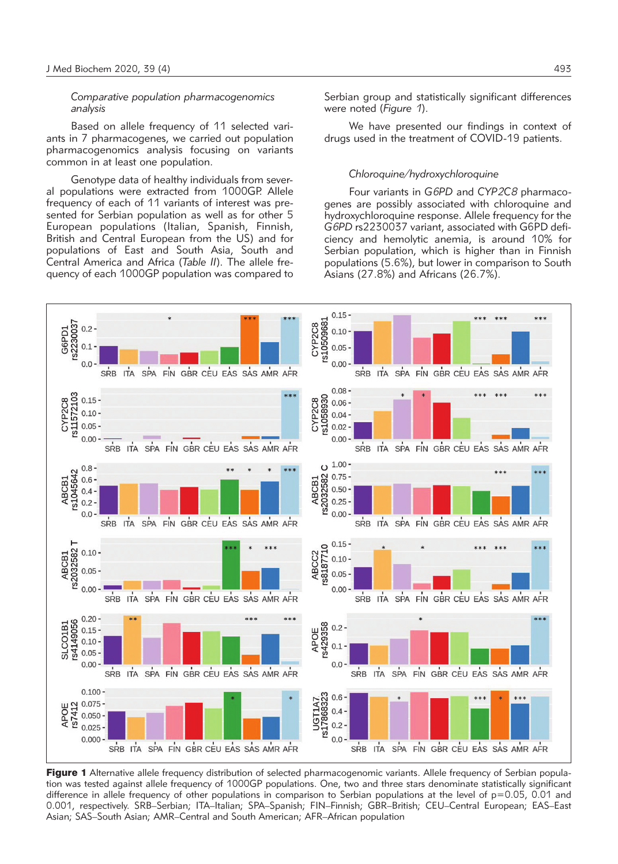### *Comparative population pharmacogenomics analysis*

Based on allele frequency of 11 selected variants in 7 pharmacogenes, we carried out population pharmacogenomics analysis focusing on variants common in at least one population.

Genotype data of healthy individuals from several populations were extracted from 1000GP. Allele frequency of each of 11 variants of interest was presented for Serbian population as well as for other 5 European populations (Italian, Spanish, Finnish, British and Central European from the US) and for populations of East and South Asia, South and Central America and Africa (*Table II*). The allele frequency of each 1000GP population was compared to Serbian group and statistically significant differences were noted (*Figure 1*).

We have presented our findings in context of drugs used in the treatment of COVID-19 patients.

#### *Chloroquine/hydroxychloroquine*

Four variants in *G6PD* and *CYP2C8* pharmacogenes are possibly associated with chloroquine and hydroxychloroquine response. Allele frequency for the *G6PD* rs2230037 variant, associated with G6PD deficiency and hemolytic anemia, is around 10% for Serbian population, which is higher than in Finnish populations (5.6%), but lower in comparison to South Asians (27.8%) and Africans (26.7%).



Figure 1 Alternative allele frequency distribution of selected pharmacogenomic variants. Allele frequency of Serbian population was tested against allele frequency of 1000GP populations. One, two and three stars denominate statistically significant difference in allele frequency of other populations in comparison to Serbian populations at the level of p=0.05, 0.01 and 0.001, respectively. SRB–Serbian; ITA–Italian; SPA–Spanish; FIN–Finnish; GBR–British; CEU–Central European; EAS–East Asian; SAS–South Asian; AMR–Central and South American; AFR–African population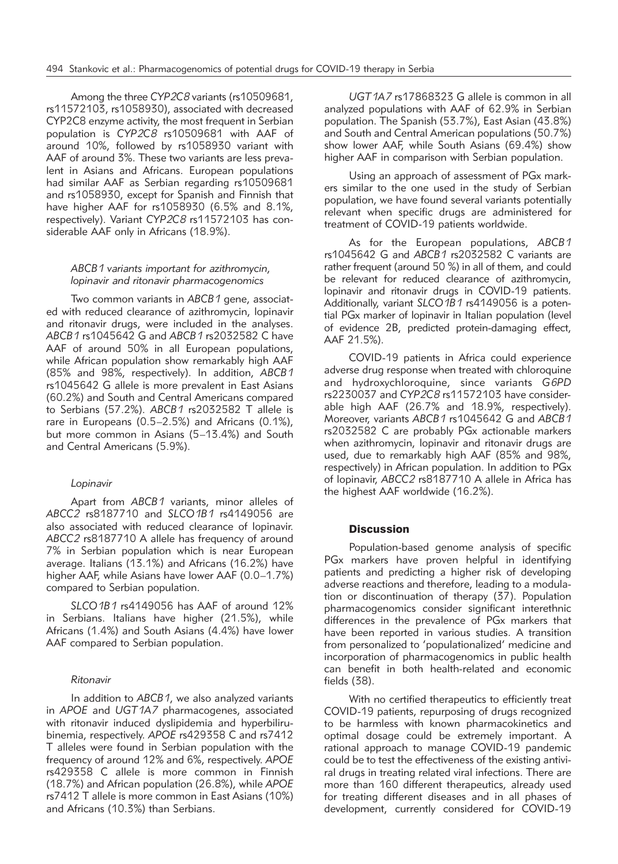Among the three *CYP2C8* variants (rs10509681, rs11572103, rs1058930), associated with decreased CYP2C8 enzyme activity, the most frequent in Serbian population is *CYP2C8* rs10509681 with AAF of around 10%, followed by rs1058930 variant with AAF of around 3%. These two variants are less prevalent in Asians and Africans. European populations had similar AAF as Serbian regarding rs10509681 and rs1058930, except for Spanish and Finnish that have higher AAF for rs1058930 (6.5% and 8.1%, respectively). Variant *CYP2C8* rs11572103 has considerable AAF only in Africans (18.9%).

## *ABCB1 variants important for azithromycin, lopinavir and ritonavir pharmacogenomics*

Two common variants in *ABCB1* gene, associated with reduced clearance of azithromycin, lopinavir and ritonavir drugs, were included in the analyses. *ABCB1* rs1045642 G and *ABCB1* rs2032582 C have AAF of around 50% in all European populations, while African population show remarkably high AAF (85% and 98%, respectively). In addition, *ABCB1* rs1045642 G allele is more prevalent in East Asians (60.2%) and South and Central Americans compared to Serbians (57.2%). *ABCB1* rs2032582 T allele is rare in Europeans (0.5–2.5%) and Africans (0.1%), but more common in Asians (5–13.4%) and South and Central Americans (5.9%).

## *Lopinavir*

Apart from *ABCB1* variants, minor alleles of *ABCC2* rs8187710 and *SLCO1B1* rs4149056 are also associated with reduced clearance of lopinavir. *ABCC2* rs8187710 A allele has frequency of around 7% in Serbian population which is near European average. Italians (13.1%) and Africans (16.2%) have higher AAF, while Asians have lower AAF (0.0–1.7%) compared to Serbian population.

*SLCO1B1* rs4149056 has AAF of around 12% in Serbians. Italians have higher (21.5%), while Africans (1.4%) and South Asians (4.4%) have lower AAF compared to Serbian population.

#### *Ritonavir*

In addition to *ABCB1*, we also analyzed variants in *APOE* and *UGT1A7* pharmacogenes, associated with ritonavir induced dyslipidemia and hyperbilirubinemia, respectively. *APOE* rs429358 C and rs7412 T alleles were found in Serbian population with the frequency of around 12% and 6%, respectively. *APOE* rs429358 C allele is more common in Finnish (18.7%) and African population (26.8%), while *APOE* rs7412 T allele is more common in East Asians (10%) and Africans (10.3%) than Serbians.

*UGT1A7* rs17868323 G allele is common in all analyzed populations with AAF of 62.9% in Serbian population. The Spanish (53.7%), East Asian (43.8%) and South and Central American populations (50.7%) show lower AAF, while South Asians (69.4%) show higher AAF in comparison with Serbian population.

Using an approach of assessment of PGx markers similar to the one used in the study of Serbian population, we have found several variants potentially relevant when specific drugs are administered for treatment of COVID-19 patients worldwide.

As for the European populations, *ABCB1* rs1045642 G and *ABCB1* rs2032582 C variants are rather frequent (around 50 %) in all of them, and could be relevant for reduced clearance of azithromycin, lopinavir and ritonavir drugs in COVID-19 patients. Additionally, variant *SLCO1B1* rs4149056 is a potential PGx marker of lopinavir in Italian population (level of evidence 2B, predicted protein-damaging effect, AAF 21.5%).

COVID-19 patients in Africa could experience adverse drug response when treated with chloroquine and hydroxychloroquine, since variants *G6PD* rs2230037 and *CYP2C8* rs11572103 have considerable high AAF (26.7% and 18.9%, respectively). Moreover, variants *ABCB1* rs1045642 G and *ABCB1* rs2032582 C are probably PGx actionable markers when azithromycin, lopinavir and ritonavir drugs are used, due to remarkably high AAF (85% and 98%, respectively) in African population. In addition to PGx of lopinavir, *ABCC2* rs8187710 A allele in Africa has the highest AAF worldwide (16.2%).

## **Discussion**

Population-based genome analysis of specific PGx markers have proven helpful in identifying patients and predicting a higher risk of developing adverse reactions and therefore, leading to a modulation or discontinuation of therapy (37). Population pharmacogenomics consider significant interethnic differences in the prevalence of PGx markers that have been reported in various studies. A transition from personalized to 'populationalized' medicine and incorporation of pharmacogenomics in public health can benefit in both health-related and economic fields (38).

With no certified therapeutics to efficiently treat COVID-19 patients, repurposing of drugs recognized to be harmless with known pharmacokinetics and optimal dosage could be extremely important. A rational approach to manage COVID-19 pandemic could be to test the effectiveness of the existing antiviral drugs in treating related viral infections. There are more than 160 different therapeutics, already used for treating different diseases and in all phases of development, currently considered for COVID-19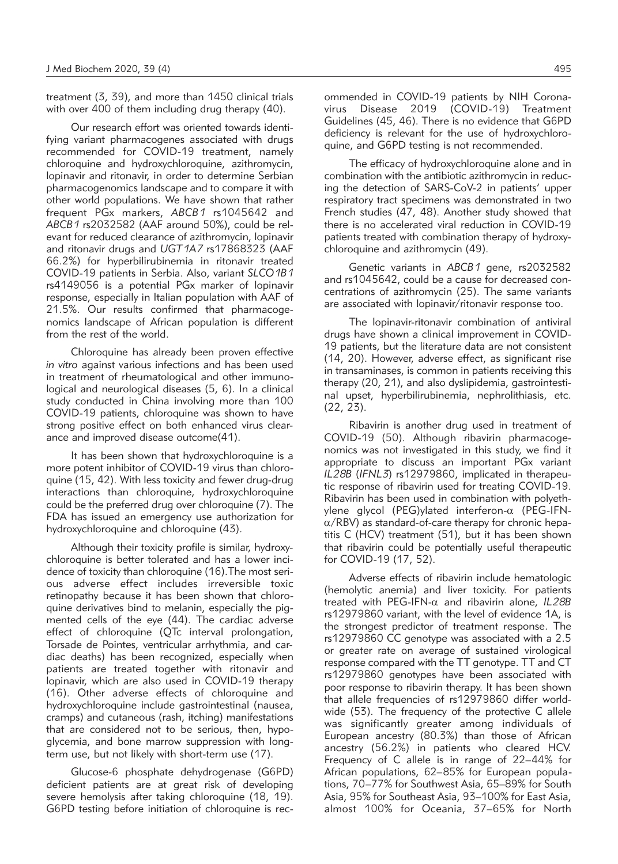treatment (3, 39), and more than 1450 clinical trials with over 400 of them including drug therapy (40).

Our research effort was oriented towards identifying variant pharmacogenes associated with drugs recommended for COVID-19 treatment, namely chloroquine and hydroxychloroquine, azithromycin, lopinavir and ritonavir, in order to determine Serbian pharmacogenomics landscape and to compare it with other world populations. We have shown that rather frequent PGx markers, *ABCB1* rs1045642 and *ABCB1* rs2032582 (AAF around 50%), could be relevant for reduced clearance of azithromycin, lopinavir and ritonavir drugs and *UGT1A7* rs17868323 (AAF 66.2%) for hyperbilirubinemia in ritonavir treated COVID-19 patients in Serbia. Also, variant *SLCO1B1* rs4149056 is a potential PGx marker of lopinavir response, especially in Italian population with AAF of 21.5%. Our results confirmed that pharmacogenomics landscape of African population is different from the rest of the world.

Chloroquine has already been proven effective *in vitro* against various infections and has been used in treatment of rheumatological and other immunological and neurological diseases (5, 6). In a clinical study conducted in China involving more than 100 COVID-19 patients, chloroquine was shown to have strong positive effect on both enhanced virus clearance and improved disease outcome(41).

It has been shown that hydroxychloroquine is a more potent inhibitor of COVID-19 virus than chloroquine (15, 42). With less toxicity and fewer drug-drug interactions than chloroquine, hydroxychloroquine could be the preferred drug over chloroquine (7). The FDA has issued an emergency use authorization for hydroxychloroquine and chloroquine (43).

Although their toxicity profile is similar, hydroxychloroquine is better tolerated and has a lower incidence of toxicity than chloroquine (16).The most serious adverse effect includes irreversible toxic retinopathy because it has been shown that chloroquine derivatives bind to melanin, especially the pigmented cells of the eye (44). The cardiac adverse effect of chloroquine (QTc interval prolongation, Torsade de Pointes, ventricular arrhythmia, and cardiac deaths) has been recognized, especially when patients are treated together with ritonavir and lopinavir, which are also used in COVID-19 therapy (16). Other adverse effects of chloroquine and hydroxychloroquine include gastrointestinal (nausea, cramps) and cutaneous (rash, itching) manifestations that are considered not to be serious, then, hypoglycemia, and bone marrow suppression with longterm use, but not likely with short-term use (17).

Glucose-6 phosphate dehydrogenase (G6PD) deficient patients are at great risk of developing severe hemolysis after taking chloroquine (18, 19). G6PD testing before initiation of chloroquine is recommended in COVID-19 patients by NIH Coronavirus Disease 2019 (COVID-19) Treatment Guidelines (45, 46). There is no evidence that G6PD deficiency is relevant for the use of hydroxychloroquine, and G6PD testing is not recommended.

The efficacy of hydroxychloroquine alone and in combination with the antibiotic azithromycin in reducing the detection of SARS-CoV-2 in patients' upper respiratory tract specimens was demonstrated in two French studies (47, 48). Another study showed that there is no accelerated viral reduction in COVID-19 patients treated with combination therapy of hydroxychloroquine and azithromycin (49).

Genetic variants in *ABCB1* gene, rs2032582 and rs1045642, could be a cause for decreased concentrations of azithromycin (25). The same variants are associated with lopinavir/ritonavir response too.

The lopinavir-ritonavir combination of antiviral drugs have shown a clinical improvement in COVID-19 patients, but the literature data are not consistent (14, 20). However, adverse effect, as significant rise in transaminases, is common in patients receiving this therapy (20, 21), and also dyslipidemia, gastrointestinal upset, hyperbilirubinemia, nephrolithiasis, etc. (22, 23).

Ribavirin is another drug used in treatment of COVID-19 (50). Although ribavirin pharmacogenomics was not investigated in this study, we find it appropriate to discuss an important PGx variant *IL28B* (*IFNL3*) rs12979860, implicated in therapeutic response of ribavirin used for treating COVID-19. Ribavirin has been used in combination with polyethylene glycol (PEG)ylated interferon- $\alpha$  (PEG-IFN- $\alpha$ /RBV) as standard-of-care therapy for chronic hepatitis C (HCV) treatment (51), but it has been shown that ribavirin could be potentially useful therapeutic for COVID-19 (17, 52).

Adverse effects of ribavirin include hematologic (hemolytic anemia) and liver toxicity. For patients treated with PEG-IFN-a and ribavirin alone, *IL28B* rs12979860 variant, with the level of evidence 1A, is the strongest predictor of treatment response. The rs12979860 CC genotype was associated with a 2.5 or greater rate on average of sustained virological response compared with the TT genotype. TT and CT rs12979860 genotypes have been associated with poor response to ribavirin therapy. It has been shown that allele frequencies of rs12979860 differ worldwide (53). The frequency of the protective C allele was significantly greater among individuals of European ancestry (80.3%) than those of African ancestry (56.2%) in patients who cleared HCV. Frequency of C allele is in range of 22–44% for African populations, 62–85% for European populations, 70–77% for Southwest Asia, 65–89% for South Asia, 95% for Southeast Asia, 93–100% for East Asia, almost 100% for Oceania, 37–65% for North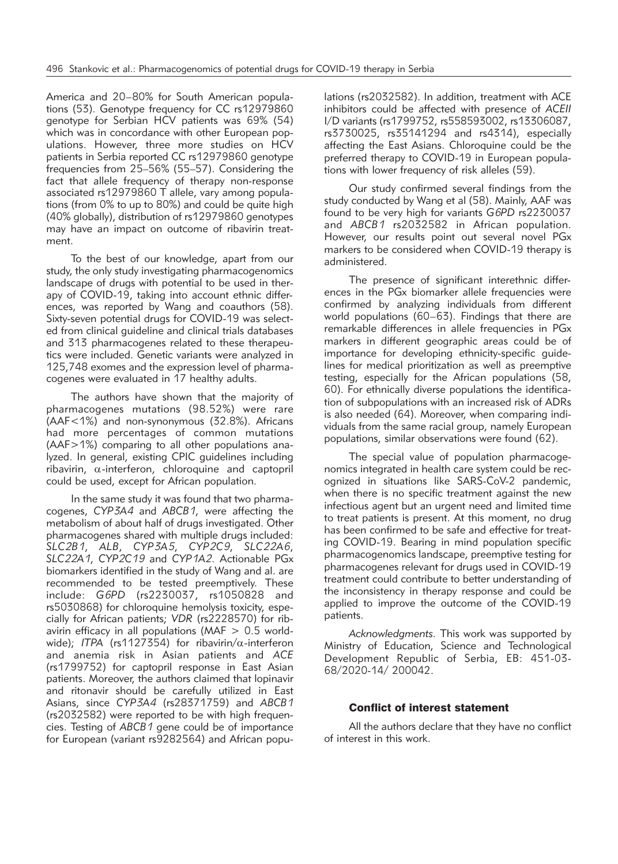America and 20–80% for South American populations (53). Genotype frequency for CC rs12979860 genotype for Serbian HCV patients was 69% (54) which was in concordance with other European populations. However, three more studies on HCV patients in Serbia reported CC rs12979860 genotype frequencies from 25–56% (55–57). Considering the fact that allele frequency of therapy non-response associated rs12979860 T allele, vary among populations (from 0% to up to 80%) and could be quite high (40% globally), distribution of rs12979860 genotypes may have an impact on outcome of ribavirin treatment.

To the best of our knowledge, apart from our study, the only study investigating pharmacogenomics landscape of drugs with potential to be used in therapy of COVID-19, taking into account ethnic differences, was reported by Wang and coauthors (58). Sixty-seven potential drugs for COVID-19 was selected from clinical guideline and clinical trials databases and 313 pharmacogenes related to these therapeutics were included. Genetic variants were analyzed in 125,748 exomes and the expression level of pharmacogenes were evaluated in 17 healthy adults.

The authors have shown that the majority of pharmacogenes mutations (98.52%) were rare (AAF<1%) and non-synonymous (32.8%). Africans had more percentages of common mutations (AAF>1%) comparing to all other populations analyzed. In general, existing CPIC guidelines including ribavirin,  $\alpha$ -interferon, chloroquine and captopril could be used, except for African population.

In the same study it was found that two pharmacogenes, *CYP3A4* and *ABCB1*, were affecting the metabolism of about half of drugs investigated. Other pharmacogenes shared with multiple drugs included: *SLC2B1*, *ALB*, *CYP3A5*, *CYP2C9*, *SLC22A6*, *SLC22A1*, *CYP2C19* and *CYP1A2*. Actionable PGx biomarkers identified in the study of Wang and al. are recommended to be tested preemptively. These include: *G6PD* (rs2230037, rs1050828 and rs5030868) for chloroquine hemolysis toxicity, especially for African patients; *VDR* (rs2228570) for ribavirin efficacy in all populations ( $MAF > 0.5$  worldwide); *ITPA* (rs1127354) for ribavirin/ $\alpha$ -interferon and anemia risk in Asian patients and *ACE* (rs1799752) for captopril response in East Asian patients. Moreover, the authors claimed that lopinavir and ritonavir should be carefully utilized in East Asians, since *CYP3A4* (rs28371759) and *ABCB1* (rs2032582) were reported to be with high frequencies. Testing of *ABCB1* gene could be of importance for European (variant rs9282564) and African populations (rs2032582). In addition, treatment with ACE inhibitors could be affected with presence of *ACEII* I/D variants (rs1799752, rs558593002, rs13306087, rs3730025, rs35141294 and rs4314), especially affecting the East Asians. Chloroquine could be the preferred therapy to COVID-19 in European populations with lower frequency of risk alleles (59).

Our study confirmed several findings from the study conducted by Wang et al (58). Mainly, AAF was found to be very high for variants *G6PD* rs2230037 and *ABCB1* rs2032582 in African population. However, our results point out several novel PGx markers to be considered when COVID-19 therapy is administered.

The presence of significant interethnic differences in the PGx biomarker allele frequencies were confirmed by analyzing individuals from different world populations (60–63). Findings that there are remarkable differences in allele frequencies in PGx markers in different geographic areas could be of importance for developing ethnicity-specific guidelines for medical prioritization as well as preemptive testing, especially for the African populations (58, 60). For ethnically diverse populations the identification of subpopulations with an increased risk of ADRs is also needed (64). Moreover, when comparing individuals from the same racial group, namely European populations, similar observations were found (62).

The special value of population pharmacogenomics integrated in health care system could be recognized in situations like SARS-CoV-2 pandemic, when there is no specific treatment against the new infectious agent but an urgent need and limited time to treat patients is present. At this moment, no drug has been confirmed to be safe and effective for treating COVID-19. Bearing in mind population specific pharmacogenomics landscape, preemptive testing for pharmacogenes relevant for drugs used in COVID-19 treatment could contribute to better understanding of the inconsistency in therapy response and could be applied to improve the outcome of the COVID-19 patients.

*Acknowledgments.* This work was supported by Ministry of Education, Science and Technological Development Republic of Serbia, EB: 451-03- 68/2020-14/ 200042.

#### Conflict of interest statement

All the authors declare that they have no conflict of interest in this work.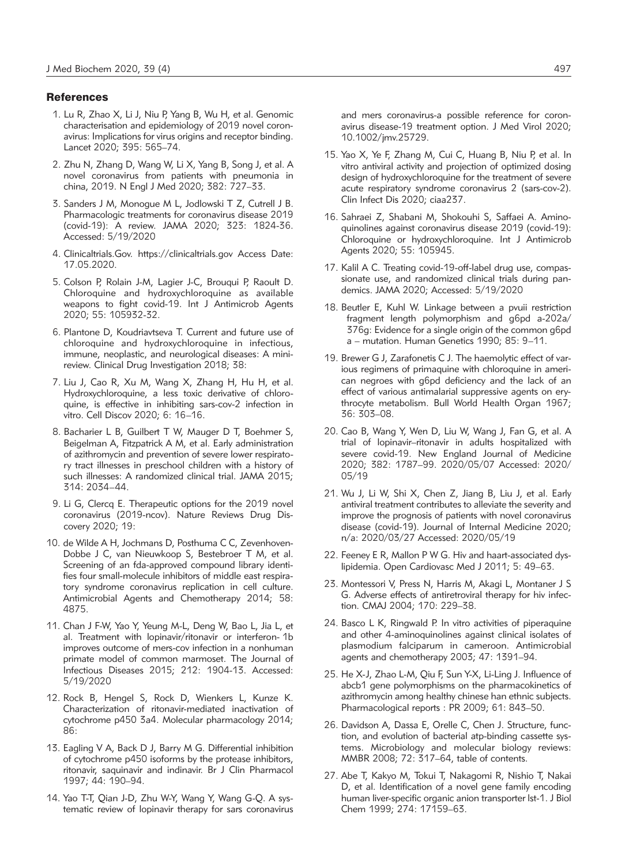#### **References**

- 1. Lu R, Zhao X, Li J, Niu P, Yang B, Wu H, et al. Genomic characterisation and epidemiology of 2019 novel coronavirus: Implications for virus origins and receptor binding. Lancet 2020; 395: 565–74.
- 2. Zhu N, Zhang D, Wang W, Li X, Yang B, Song J, et al. A novel coronavirus from patients with pneumonia in china, 2019. N Engl J Med 2020; 382: 727–33.
- 3. Sanders J M, Monogue M L, Jodlowski T Z, Cutrell J B. Pharmacologic treatments for coronavirus disease 2019 (covid-19): A review. JAMA 2020; 323: 1824-36. Accessed: 5/19/2020
- 4. Clinicaltrials.Gov. https://clinicaltrials.gov Access Date: 17.05.2020.
- 5. Colson P, Rolain J-M, Lagier J-C, Brouqui P, Raoult D. Chloroquine and hydroxychloroquine as available weapons to fight covid-19. Int J Antimicrob Agents 2020; 55: 105932-32.
- 6. Plantone D, Koudriavtseva T. Current and future use of chloroquine and hydroxychloroquine in infectious, immune, neoplastic, and neurological diseases: A minireview. Clinical Drug Investigation 2018; 38:
- 7. Liu J, Cao R, Xu M, Wang X, Zhang H, Hu H, et al. Hydroxychloroquine, a less toxic derivative of chloroquine, is effective in inhibiting sars-cov-2 infection in vitro. Cell Discov 2020; 6: 16–16.
- 8. Bacharier L B, Guilbert T W, Mauger D T, Boehmer S, Beigelman A, Fitzpatrick A M, et al. Early administration of azithromycin and prevention of severe lower respiratory tract illnesses in preschool children with a history of such illnesses: A randomized clinical trial. JAMA 2015; 314: 2034–44.
- 9. Li G, Clercq E. Therapeutic options for the 2019 novel coronavirus (2019-ncov). Nature Reviews Drug Discovery 2020; 19:
- 10. de Wilde A H, Jochmans D, Posthuma C C, Zevenhoven-Dobbe J C, van Nieuwkoop S, Bestebroer T M, et al. Screening of an fda-approved compound library identifies four small-molecule inhibitors of middle east respiratory syndrome coronavirus replication in cell culture. Antimicrobial Agents and Chemotherapy 2014; 58: 4875.
- 11. Chan J F-W, Yao Y, Yeung M-L, Deng W, Bao L, Jia L, et al. Treatment with lopinavir/ritonavir or interferon- 1b improves outcome of mers-cov infection in a nonhuman primate model of common marmoset. The Journal of Infectious Diseases 2015; 212: 1904-13. Accessed: 5/19/2020
- 12. Rock B, Hengel S, Rock D, Wienkers L, Kunze K. Characterization of ritonavir-mediated inactivation of cytochrome p450 3a4. Molecular pharmacology 2014; 86:
- 13. Eagling V A, Back D J, Barry M G. Differential inhibition of cytochrome p450 isoforms by the protease inhibitors, ritonavir, saquinavir and indinavir. Br J Clin Pharmacol 1997; 44: 190–94.
- 14. Yao T-T, Qian J-D, Zhu W-Y, Wang Y, Wang G-Q. A systematic review of lopinavir therapy for sars coronavirus

and mers coronavirus-a possible reference for coronavirus disease-19 treatment option. J Med Virol 2020; 10.1002/jmv.25729.

- 15. Yao X, Ye F, Zhang M, Cui C, Huang B, Niu P, et al. In vitro antiviral activity and projection of optimized dosing design of hydroxychloroquine for the treatment of severe acute respiratory syndrome coronavirus 2 (sars-cov-2). Clin Infect Dis 2020; ciaa237.
- 16. Sahraei Z, Shabani M, Shokouhi S, Saffaei A. Aminoquinolines against coronavirus disease 2019 (covid-19): Chloroquine or hydroxychloroquine. Int J Antimicrob Agents 2020; 55: 105945.
- 17. Kalil A C. Treating covid-19-off-label drug use, compassionate use, and randomized clinical trials during pandemics. JAMA 2020; Accessed: 5/19/2020
- 18. Beutler E, Kuhl W. Linkage between a pvuii restriction fragment length polymorphism and g6pd a-202a/ 376g: Evidence for a single origin of the common g6pd a – mutation. Human Genetics 1990; 85: 9–11.
- 19. Brewer G J, Zarafonetis C J. The haemolytic effect of various regimens of primaquine with chloroquine in american negroes with g6pd deficiency and the lack of an effect of various antimalarial suppressive agents on erythrocyte metabolism. Bull World Health Organ 1967; 36: 303–08.
- 20. Cao B, Wang Y, Wen D, Liu W, Wang J, Fan G, et al. A trial of lopinavir–ritonavir in adults hospitalized with severe covid-19. New England Journal of Medicine 2020; 382: 1787–99. 2020/05/07 Accessed: 2020/ 05/19
- 21. Wu J, Li W, Shi X, Chen Z, Jiang B, Liu J, et al. Early antiviral treatment contributes to alleviate the severity and improve the prognosis of patients with novel coronavirus disease (covid-19). Journal of Internal Medicine 2020; n/a: 2020/03/27 Accessed: 2020/05/19
- 22. Feeney E R, Mallon P W G. Hiv and haart-associated dyslipidemia. Open Cardiovasc Med J 2011; 5: 49–63.
- 23. Montessori V, Press N, Harris M, Akagi L, Montaner J S G. Adverse effects of antiretroviral therapy for hiv infection. CMAJ 2004; 170: 229–38.
- 24. Basco L K, Ringwald P. In vitro activities of piperaquine and other 4-aminoquinolines against clinical isolates of plasmodium falciparum in cameroon. Antimicrobial agents and chemotherapy 2003; 47: 1391–94.
- 25. He X-J, Zhao L-M, Qiu F, Sun Y-X, Li-Ling J. Influence of abcb1 gene polymorphisms on the pharmacokinetics of azithromycin among healthy chinese han ethnic subjects. Pharmacological reports : PR 2009; 61: 843–50.
- 26. Davidson A, Dassa E, Orelle C, Chen J. Structure, function, and evolution of bacterial atp-binding cassette systems. Microbiology and molecular biology reviews: MMBR 2008; 72: 317–64, table of contents.
- 27. Abe T, Kakyo M, Tokui T, Nakagomi R, Nishio T, Nakai D, et al. Identification of a novel gene family encoding human liver-specific organic anion transporter lst-1. J Biol Chem 1999; 274: 17159–63.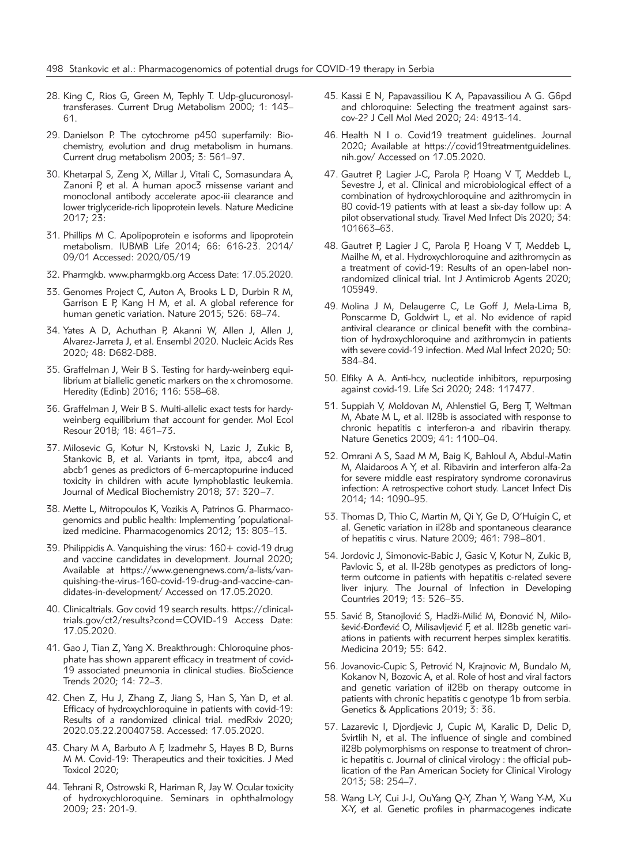- 28. King C, Rios G, Green M, Tephly T. Udp-glucuronosyltransferases. Current Drug Metabolism 2000; 1: 143– 61.
- 29. Danielson P. The cytochrome p450 superfamily: Biochemistry, evolution and drug metabolism in humans. Current drug metabolism 2003; 3: 561–97.
- 30. Khetarpal S, Zeng X, Millar J, Vitali C, Somasundara A, Zanoni P, et al. A human apoc3 missense variant and monoclonal antibody accelerate apoc-iii clearance and lower triglyceride-rich lipoprotein levels. Nature Medicine 2017; 23:
- 31. Phillips M C. Apolipoprotein e isoforms and lipoprotein metabolism. IUBMB Life 2014; 66: 616-23. 2014/ 09/01 Accessed: 2020/05/19
- 32. Pharmgkb. www.pharmgkb.org Access Date: 17.05.2020.
- 33. Genomes Project C, Auton A, Brooks L D, Durbin R M, Garrison E P, Kang H M, et al. A global reference for human genetic variation. Nature 2015; 526: 68–74.
- 34. Yates A D, Achuthan P, Akanni W, Allen J, Allen J, Alvarez-Jarreta J, et al. Ensembl 2020. Nucleic Acids Res 2020; 48: D682-D88.
- 35. Graffelman J, Weir B S. Testing for hardy-weinberg equilibrium at biallelic genetic markers on the x chromosome. Heredity (Edinb) 2016; 116: 558–68.
- 36. Graffelman J, Weir B S. Multi-allelic exact tests for hardyweinberg equilibrium that account for gender. Mol Ecol Resour 2018; 18: 461–73.
- 37. Milosevic G, Kotur N, Krstovski N, Lazic J, Zukic B, Stankovic B, et al. Variants in tpmt, itpa, abcc4 and abcb1 genes as predictors of 6-mercaptopurine induced toxicity in children with acute lymphoblastic leukemia. Journal of Medical Biochemistry 2018; 37: 320–7.
- 38. Mette L, Mitropoulos K, Vozikis A, Patrinos G. Pharmacogenomics and public health: Implementing 'populationalized medicine. Pharmacogenomics 2012; 13: 803–13.
- 39. Philippidis A. Vanquishing the virus: 160+ covid-19 drug and vaccine candidates in development. Journal 2020; Available at https://www.genengnews.com/a-lists/vanquishing-the-virus-160-covid-19-drug-and-vaccine-candidates-in-development/ Accessed on 17.05.2020.
- 40. Clinicaltrials. Gov covid 19 search results. https://clinicaltrials.gov/ct2/results?cond=COVID-19 Access Date: 17.05.2020.
- 41. Gao J, Tian Z, Yang X. Breakthrough: Chloroquine phosphate has shown apparent efficacy in treatment of covid-19 associated pneumonia in clinical studies. BioScience Trends 2020; 14: 72–3.
- 42. Chen Z, Hu J, Zhang Z, Jiang S, Han S, Yan D, et al. Efficacy of hydroxychloroquine in patients with covid-19: Results of a randomized clinical trial. medRxiv 2020; 2020.03.22.20040758. Accessed: 17.05.2020.
- 43. Chary M A, Barbuto A F, Izadmehr S, Hayes B D, Burns M M. Covid-19: Therapeutics and their toxicities. J Med Toxicol 2020;
- 44. Tehrani R, Ostrowski R, Hariman R, Jay W. Ocular toxicity of hydroxychloroquine. Seminars in ophthalmology 2009; 23: 201-9.
- 45. Kassi E N, Papavassiliou K A, Papavassiliou A G. G6pd and chloroquine: Selecting the treatment against sarscov-2? J Cell Mol Med 2020; 24: 4913-14.
- 46. Health N I o. Covid19 treatment guidelines. Journal 2020; Available at https://covid19treatmentguidelines. nih.gov/ Accessed on 17.05.2020.
- 47. Gautret P, Lagier J-C, Parola P, Hoang V T, Meddeb L, Sevestre J, et al. Clinical and microbiological effect of a combination of hydroxychloroquine and azithromycin in 80 covid-19 patients with at least a six-day follow up: A pilot observational study. Travel Med Infect Dis 2020; 34: 101663–63.
- 48. Gautret P, Lagier J C, Parola P, Hoang V T, Meddeb L, Mailhe M, et al. Hydroxychloroquine and azithromycin as a treatment of covid-19: Results of an open-label nonrandomized clinical trial. Int J Antimicrob Agents 2020; 105949.
- 49. Molina J M, Delaugerre C, Le Goff J, Mela-Lima B, Ponscarme D, Goldwirt L, et al. No evidence of rapid antiviral clearance or clinical benefit with the combination of hydroxychloroquine and azithromycin in patients with severe covid-19 infection. Med Mal Infect 2020; 50: 384–84.
- 50. Elfiky A A. Anti-hcv, nucleotide inhibitors, repurposing against covid-19. Life Sci 2020; 248: 117477.
- 51. Suppiah V, Moldovan M, Ahlenstiel G, Berg T, Weltman M, Abate M L, et al. Il28b is associated with response to chronic hepatitis c interferon-a and ribavirin therapy. Nature Genetics 2009; 41: 1100–04.
- 52. Omrani A S, Saad M M, Baig K, Bahloul A, Abdul-Matin M, Alaidaroos A Y, et al. Ribavirin and interferon alfa-2a for severe middle east respiratory syndrome coronavirus infection: A retrospective cohort study. Lancet Infect Dis 2014; 14: 1090–95.
- 53. Thomas D, Thio C, Martin M, Qi Y, Ge D, O'Huigin C, et al. Genetic variation in il28b and spontaneous clearance of hepatitis c virus. Nature 2009; 461: 798–801.
- 54. Jordovic J, Simonovic-Babic J, Gasic V, Kotur N, Zukic B, Pavlovic S, et al. Il-28b genotypes as predictors of longterm outcome in patients with hepatitis c-related severe liver injury. The Journal of Infection in Developing Countries 2019; 13: 526–35.
- 55. Savić B, Stanojlović S, Hadži-Milić M, Đonović N, Milošević-Đorđević O, Milisavljević F, et al. Il28b genetic variations in patients with recurrent herpes simplex keratitis. Medicina 2019; 55: 642.
- 56. Jovanovic-Cupic S, Petrović N, Krajnovic M, Bundalo M, Kokanov N, Bozovic A, et al. Role of host and viral factors and genetic variation of il28b on therapy outcome in patients with chronic hepatitis c genotype 1b from serbia. Genetics & Applications 2019; 3: 36.
- 57. Lazarevic I, Djordjevic J, Cupic M, Karalic D, Delic D, Svirtlih N, et al. The influence of single and combined il28b polymorphisms on response to treatment of chronic hepatitis c. Journal of clinical virology : the official publication of the Pan American Society for Clinical Virology 2013; 58: 254–7.
- 58. Wang L-Y, Cui J-J, OuYang Q-Y, Zhan Y, Wang Y-M, Xu X-Y, et al. Genetic profiles in pharmacogenes indicate